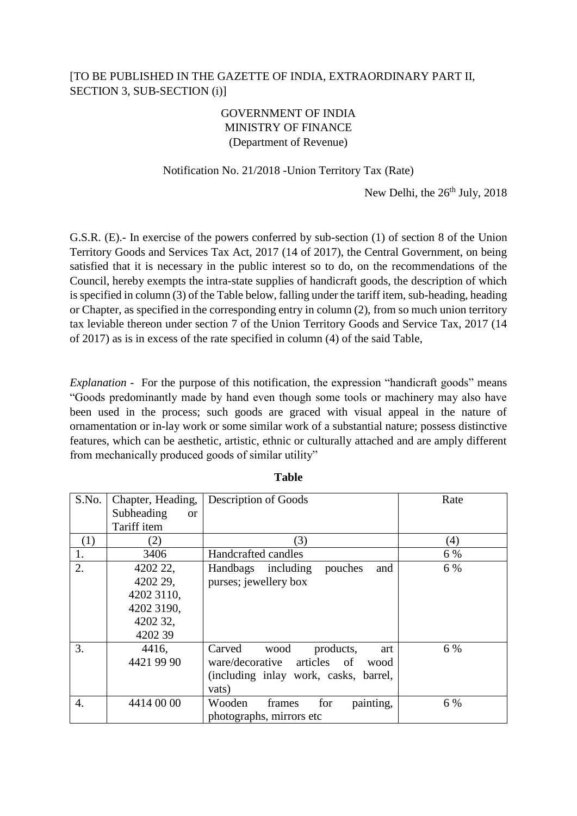## [TO BE PUBLISHED IN THE GAZETTE OF INDIA, EXTRAORDINARY PART II, SECTION 3, SUB-SECTION (i)]

## GOVERNMENT OF INDIA MINISTRY OF FINANCE (Department of Revenue)

## Notification No. 21/2018 -Union Territory Tax (Rate)

New Delhi, the  $26<sup>th</sup>$  July,  $2018$ 

G.S.R. (E).- In exercise of the powers conferred by sub-section (1) of section 8 of the Union Territory Goods and Services Tax Act, 2017 (14 of 2017), the Central Government, on being satisfied that it is necessary in the public interest so to do, on the recommendations of the Council, hereby exempts the intra-state supplies of handicraft goods, the description of which is specified in column (3) of the Table below, falling under the tariff item, sub-heading, heading or Chapter, as specified in the corresponding entry in column (2), from so much union territory tax leviable thereon under section 7 of the Union Territory Goods and Service Tax, 2017 (14 of 2017) as is in excess of the rate specified in column (4) of the said Table,

*Explanation* - For the purpose of this notification, the expression "handicraft goods" means "Goods predominantly made by hand even though some tools or machinery may also have been used in the process; such goods are graced with visual appeal in the nature of ornamentation or in-lay work or some similar work of a substantial nature; possess distinctive features, which can be aesthetic, artistic, ethnic or culturally attached and are amply different from mechanically produced goods of similar utility"

| S.No. | Chapter, Heading, | Description of Goods                      | Rate |
|-------|-------------------|-------------------------------------------|------|
|       | Subheading<br>or  |                                           |      |
|       | Tariff item       |                                           |      |
| (1)   | (2)               | (3)                                       | (4)  |
| 1.    | 3406              | Handcrafted candles                       | 6 %  |
| 2.    | 4202 22,          | Handbags including<br>pouches<br>and      | 6 %  |
|       | 4202 29,          | purses; jewellery box                     |      |
|       | 4202 3110,        |                                           |      |
|       | 4202 3190,        |                                           |      |
|       | 4202 32,          |                                           |      |
|       | 4202 39           |                                           |      |
| 3.    | 4416,             | Carved<br>wood<br>products,<br>art        | 6 %  |
|       | 4421 99 90        | articles<br>ware/decorative<br>of<br>wood |      |
|       |                   | (including inlay work, casks, barrel,     |      |
|       |                   | vats)                                     |      |
| 4.    | 4414 00 00        | painting,<br>for<br>Wooden<br>frames      | 6 %  |
|       |                   | photographs, mirrors etc.                 |      |

**Table**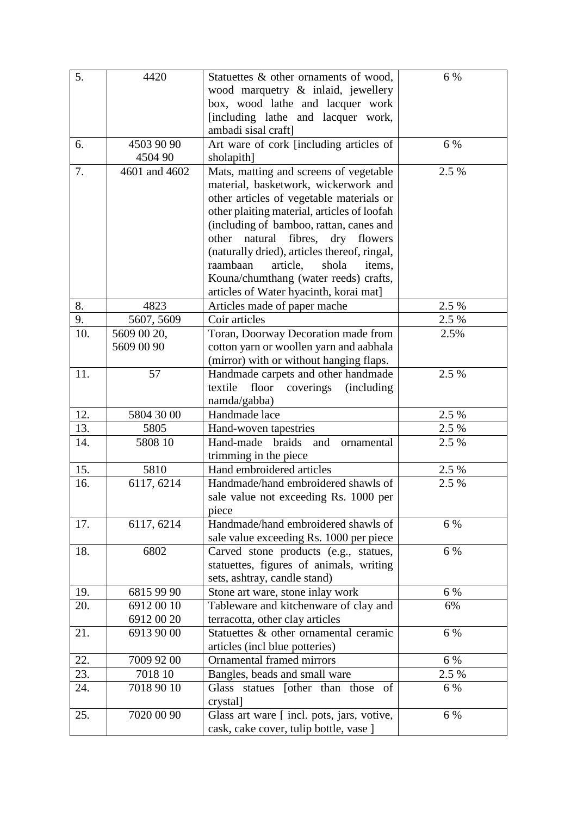| 5.  | 4420                     | Statuettes & other ornaments of wood,                                            | 6 %   |
|-----|--------------------------|----------------------------------------------------------------------------------|-------|
|     |                          | wood marquetry & inlaid, jewellery                                               |       |
|     |                          | box, wood lathe and lacquer work                                                 |       |
|     |                          | [including lathe and lacquer work,                                               |       |
|     |                          | ambadi sisal craft]                                                              |       |
| 6.  | 4503 90 90               | Art ware of cork [including articles of                                          | 6 %   |
| 7.  | 4504 90<br>4601 and 4602 | sholapith]<br>Mats, matting and screens of vegetable                             | 2.5 % |
|     |                          | material, basketwork, wickerwork and                                             |       |
|     |                          | other articles of vegetable materials or                                         |       |
|     |                          | other plaiting material, articles of loofah                                      |       |
|     |                          | (including of bamboo, rattan, canes and                                          |       |
|     |                          | fibres,<br>natural<br>dry flowers<br>other                                       |       |
|     |                          | (naturally dried), articles thereof, ringal,                                     |       |
|     |                          | article,<br>raambaan<br>shola<br>items.                                          |       |
|     |                          | Kouna/chumthang (water reeds) crafts,                                            |       |
|     |                          | articles of Water hyacinth, korai mat]                                           |       |
| 8.  | 4823                     | Articles made of paper mache                                                     | 2.5 % |
| 9.  | 5607, 5609               | Coir articles                                                                    | 2.5 % |
| 10. | 5609 00 20,              | Toran, Doorway Decoration made from                                              | 2.5%  |
|     | 5609 00 90               | cotton yarn or woollen yarn and aabhala                                          |       |
|     |                          | (mirror) with or without hanging flaps.                                          |       |
| 11. | 57                       | Handmade carpets and other handmade                                              | 2.5 % |
|     |                          | textile<br>floor<br><i>(including)</i><br>coverings                              |       |
|     |                          | namda/gabba)                                                                     |       |
| 12. | 5804 30 00               | Handmade lace                                                                    | 2.5 % |
| 13. | 5805                     | Hand-woven tapestries                                                            | 2.5 % |
| 14. | 5808 10                  | Hand-made<br>braids<br>and<br>ornamental                                         | 2.5 % |
|     |                          | trimming in the piece                                                            |       |
| 15. | 5810                     | Hand embroidered articles                                                        | 2.5 % |
| 16. | 6117, 6214               | Handmade/hand embroidered shawls of                                              | 2.5 % |
|     |                          | sale value not exceeding Rs. 1000 per                                            |       |
|     |                          | piece                                                                            |       |
| 17. | 6117, 6214               | Handmade/hand embroidered shawls of                                              | 6 %   |
| 18. | 6802                     | sale value exceeding Rs. 1000 per piece                                          | 6 %   |
|     |                          | Carved stone products (e.g., statues,<br>statuettes, figures of animals, writing |       |
|     |                          | sets, ashtray, candle stand)                                                     |       |
| 19. | 6815 99 90               | Stone art ware, stone inlay work                                                 | 6 %   |
| 20. | 6912 00 10               | Tableware and kitchenware of clay and                                            | 6%    |
|     | 6912 00 20               | terracotta, other clay articles                                                  |       |
| 21. | 6913 90 00               | Statuettes & other ornamental ceramic                                            | 6 %   |
|     |                          | articles (incl blue potteries)                                                   |       |
| 22. | 7009 92 00               | Ornamental framed mirrors                                                        | 6 %   |
| 23. | 7018 10                  | Bangles, beads and small ware                                                    | 2.5 % |
| 24. | 7018 90 10               | Glass statues [other than those of                                               | 6 %   |
|     |                          | crystal]                                                                         |       |
| 25. | 7020 00 90               | Glass art ware [incl. pots, jars, votive,                                        | 6 %   |
|     |                          | cask, cake cover, tulip bottle, vase ]                                           |       |
|     |                          |                                                                                  |       |